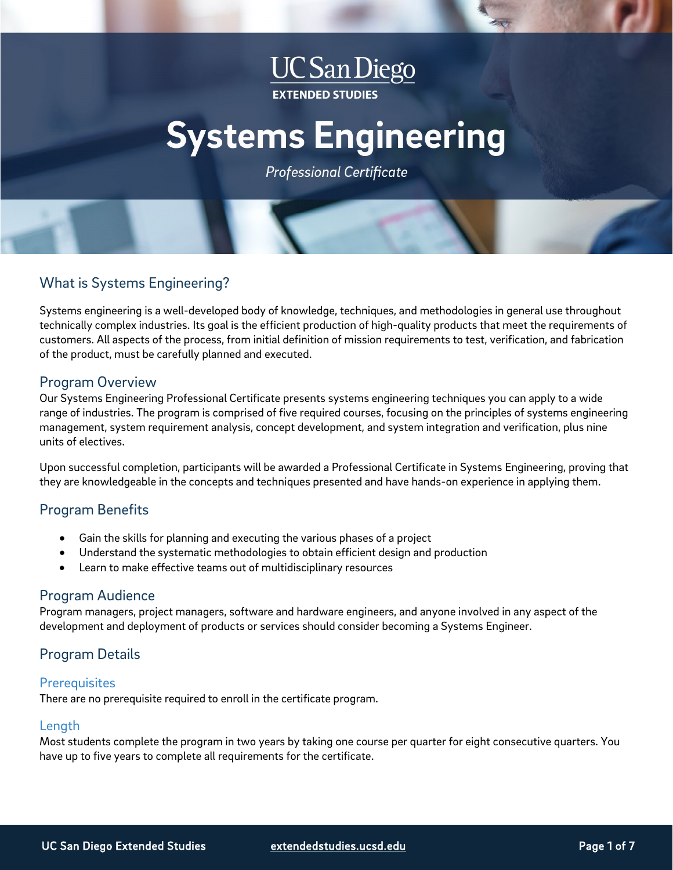## **UC** San Diego **EXTENDED STUDIES**

# **Systems Engineering**

**Professional Certificate** 

## What is Systems Engineering?

Systems engineering is a well-developed body of knowledge, techniques, and methodologies in general use throughout technically complex industries. Its goal is the efficient production of high-quality products that meet the requirements of customers. All aspects of the process, from initial definition of mission requirements to test, verification, and fabrication of the product, must be carefully planned and executed.

## Program Overview

Our Systems Engineering Professional Certificate presents systems engineering techniques you can apply to a wide range of industries. The program is comprised of five required courses, focusing on the principles of systems engineering management, system requirement analysis, concept development, and system integration and verification, plus nine units of electives.

Upon successful completion, participants will be awarded a Professional Certificate in Systems Engineering, proving that they are knowledgeable in the concepts and techniques presented and have hands-on experience in applying them.

## Program Benefits

- Gain the skills for planning and executing the various phases of a project
- Understand the systematic methodologies to obtain efficient design and production
- Learn to make effective teams out of multidisciplinary resources

## Program Audience

Program managers, project managers, software and hardware engineers, and anyone involved in any aspect of the development and deployment of products or services should consider becoming a Systems Engineer.

## Program Details

#### **Prerequisites**

There are no prerequisite required to enroll in the certificate program.

#### Length

Most students complete the program in two years by taking one course per quarter for eight consecutive quarters. You have up to five years to complete all requirements for the certificate.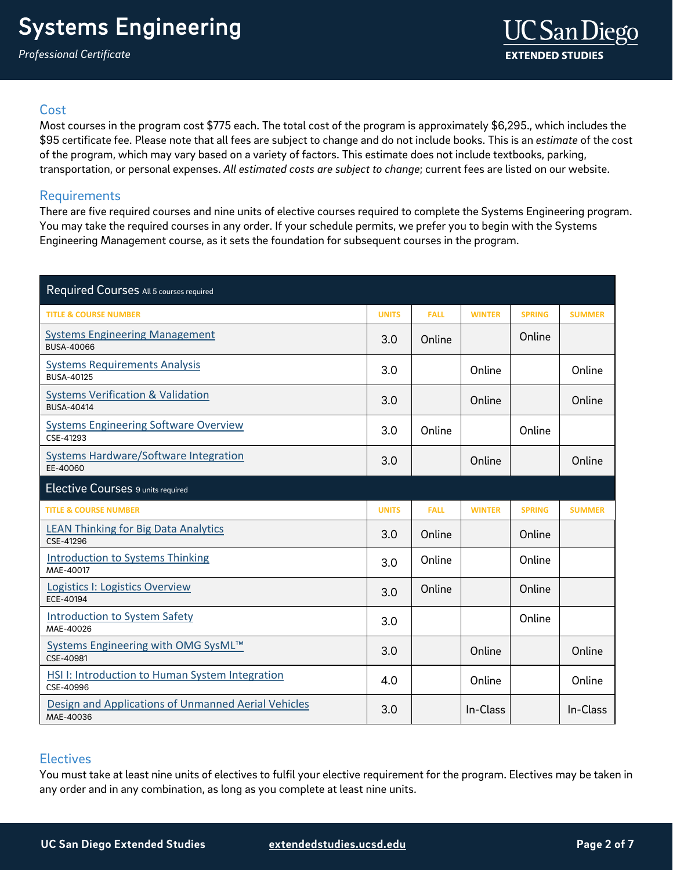### **Cost**

Most courses in the program cost \$775 each. The total cost of the program is approximately \$6,295., which includes the \$95 certificate fee. Please note that all fees are subject to change and do not include books. This is an *estimate* of the cost of the program, which may vary based on a variety of factors. This estimate does not include textbooks, parking, transportation, or personal expenses. *All estimated costs are subject to change*; current fees are listed on our website.

## <span id="page-1-0"></span>Requirements

There are five required courses and nine units of elective courses required to complete the Systems Engineering program. You may take the required courses in any order. If your schedule permits, we prefer you to begin with the Systems Engineering Management course, as it sets the foundation for subsequent courses in the program.

| Required Courses All 5 courses required                             |              |             |               |               |               |
|---------------------------------------------------------------------|--------------|-------------|---------------|---------------|---------------|
| <b>TITLE &amp; COURSE NUMBER</b>                                    | <b>UNITS</b> | <b>FALL</b> | <b>WINTER</b> | <b>SPRING</b> | <b>SUMMER</b> |
| <b>Systems Engineering Management</b><br><b>BUSA-40066</b>          | 3.0          | Online      |               | Online        |               |
| <b>Systems Requirements Analysis</b><br><b>BUSA-40125</b>           | 3.0          |             | Online        |               | Online        |
| <b>Systems Verification &amp; Validation</b><br><b>BUSA-40414</b>   | 3.0          |             | Online        |               | Online        |
| <b>Systems Engineering Software Overview</b><br>CSE-41293           | 3.0          | Online      |               | Online        |               |
| <b>Systems Hardware/Software Integration</b><br>EE-40060            | 3.0          |             | Online        |               | Online        |
| Elective Courses 9 units required                                   |              |             |               |               |               |
|                                                                     |              |             |               |               |               |
| <b>TITLE &amp; COURSE NUMBER</b>                                    | <b>UNITS</b> | <b>FALL</b> | <b>WINTER</b> | <b>SPRING</b> | <b>SUMMER</b> |
| <b>LEAN Thinking for Big Data Analytics</b><br>CSE-41296            | 3.0          | Online      |               | Online        |               |
| <b>Introduction to Systems Thinking</b><br>MAE-40017                | 3.0          | Online      |               | Online        |               |
| Logistics I: Logistics Overview<br>ECE-40194                        | 3.0          | Online      |               | Online        |               |
| <b>Introduction to System Safety</b><br>MAE-40026                   | 3.0          |             |               | Online        |               |
| Systems Engineering with OMG SysML™<br>CSE-40981                    | 3.0          |             | Online        |               | Online        |
| <b>HSI I: Introduction to Human System Integration</b><br>CSE-40996 | 4.0          |             | Online        |               | Online        |

## **Electives**

You must take at least nine units of electives to fulfil your elective requirement for the program. Electives may be taken in any order and in any combination, as long as you complete at least nine units.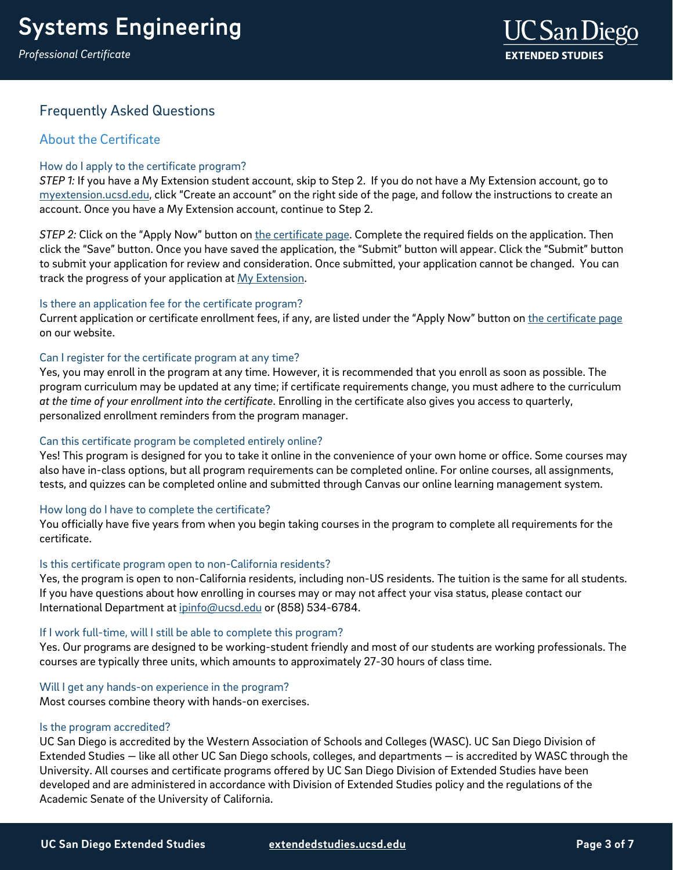*Professional Certificate*



## Frequently Asked Questions

## About the Certificate

#### How do I apply to the certificate program?

*STEP 1:* If you have a My Extension student account, skip to Step 2. If you do not have a My Extension account, go to [myextension.ucsd.edu,](https://myextension.ucsd.edu/) click "Create an account" on the right side of the page, and follow the instructions to create an account. Once you have a My Extension account, continue to Step 2.

*STEP 2:* Click on the "Apply Now" button on [the certificate page.](https://extension.ucsd.edu/courses-and-programs/systems-engineering-certificate?utm_source=faqs-pdf&utm_medium=pdf&utm_campaign=bst-systems-engineering) Complete the required fields on the application. Then click the "Save" button. Once you have saved the application, the "Submit" button will appear. Click the "Submit" button to submit your application for review and consideration. Once submitted, your application cannot be changed. You can track the progress of your application at [My Extension.](https://myextension.ucsd.edu/)

#### Is there an application fee for the certificate program?

Current application or certificate enrollment fees, if any, are listed under the "Apply Now" button o[n the certificate page](https://extension.ucsd.edu/courses-and-programs/systems-engineering-certificate?utm_source=faqs-pdf&utm_medium=pdf&utm_campaign=bst-systems-engineering) on our website.

#### Can I register for the certificate program at any time?

Yes, you may enroll in the program at any time. However, it is recommended that you enroll as soon as possible. The program curriculum may be updated at any time; if certificate requirements change, you must adhere to the curriculum *at the time of your enrollment into the certificate*. Enrolling in the certificate also gives you access to quarterly, personalized enrollment reminders from the program manager.

#### Can this certificate program be completed entirely online?

Yes! This program is designed for you to take it online in the convenience of your own home or office. Some courses may also have in-class options, but all program requirements can be completed online. For online courses, all assignments, tests, and quizzes can be completed online and submitted through Canvas our online learning management system.

#### How long do I have to complete the certificate?

You officially have five years from when you begin taking courses in the program to complete all requirements for the certificate.

#### Is this certificate program open to non-California residents?

Yes, the program is open to non-California residents, including non-US residents. The tuition is the same for all students. If you have questions about how enrolling in courses may or may not affect your visa status, please contact our International Department at [ipinfo@ucsd.edu](mailto:ipinfo@ucsd.edu) or (858) 534-6784.

#### If I work full-time, will I still be able to complete this program?

Yes. Our programs are designed to be working-student friendly and most of our students are working professionals. The courses are typically three units, which amounts to approximately 27-30 hours of class time.

#### Will I get any hands-on experience in the program?

Most courses combine theory with hands-on exercises.

#### Is the program accredited?

UC San Diego is accredited by the Western Association of Schools and Colleges (WASC). UC San Diego Division of Extended Studies — like all other UC San Diego schools, colleges, and departments — is accredited by WASC through the University. All courses and certificate programs offered by UC San Diego Division of Extended Studies have been developed and are administered in accordance with Division of Extended Studies policy and the regulations of the Academic Senate of the University of California.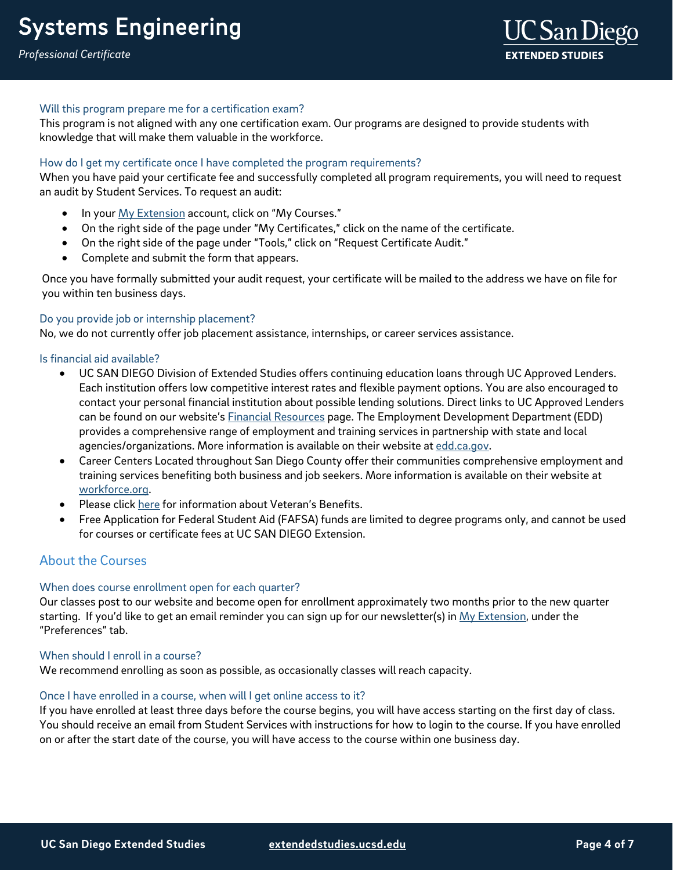#### Will this program prepare me for a certification exam?

This program is not aligned with any one certification exam. Our programs are designed to provide students with knowledge that will make them valuable in the workforce.

#### How do I get my certificate once I have completed the program requirements?

When you have paid your certificate fee and successfully completed all program requirements, you will need to request an audit by Student Services. To request an audit:

- In you[r My Extension](https://myextension.ucsd.edu/) account, click on "My Courses."
- On the right side of the page under "My Certificates," click on the name of the certificate.
- On the right side of the page under "Tools," click on "Request Certificate Audit."
- Complete and submit the form that appears.

Once you have formally submitted your audit request, your certificate will be mailed to the address we have on file for you within ten business days.

#### Do you provide job or internship placement?

No, we do not currently offer job placement assistance, internships, or career services assistance.

#### Is financial aid available?

- UC SAN DIEGO Division of Extended Studies offers continuing education loans through UC Approved Lenders. Each institution offers low competitive interest rates and flexible payment options. You are also encouraged to contact your personal financial institution about possible lending solutions. Direct links to UC Approved Lenders can be found on our website's [Financial Resources](https://extension.ucsd.edu/student-resources/financial-resources?vAction=financial) page. The Employment Development Department (EDD) provides a comprehensive range of employment and training services in partnership with state and local agencies/organizations. More information is available on their website at [edd.ca.gov.](http://edd.ca.gov/)
- Career Centers Located throughout San Diego County offer their communities comprehensive employment and training services benefiting both business and job seekers. More information is available on their website at [workforce.org.](http://workforce.org/)
- Please clic[k here](http://extension.ucsd.edu/student/index.cfm?vAction=vets) for information about Veteran's Benefits.
- Free Application for Federal Student Aid (FAFSA) funds are limited to degree programs only, and cannot be used for courses or certificate fees at UC SAN DIEGO Extension.

#### About the Courses

#### When does course enrollment open for each quarter?

Our classes post to our website and become open for enrollment approximately two months prior to the new quarter starting. If you'd like to get an email reminder you can sign up for our newsletter(s) in [My Extension,](https://myextension.ucsd.edu/) under the "Preferences" tab.

#### When should I enroll in a course?

We recommend enrolling as soon as possible, as occasionally classes will reach capacity.

#### Once I have enrolled in a course, when will I get online access to it?

If you have enrolled at least three days before the course begins, you will have access starting on the first day of class. You should receive an email from Student Services with instructions for how to login to the course. If you have enrolled on or after the start date of the course, you will have access to the course within one business day.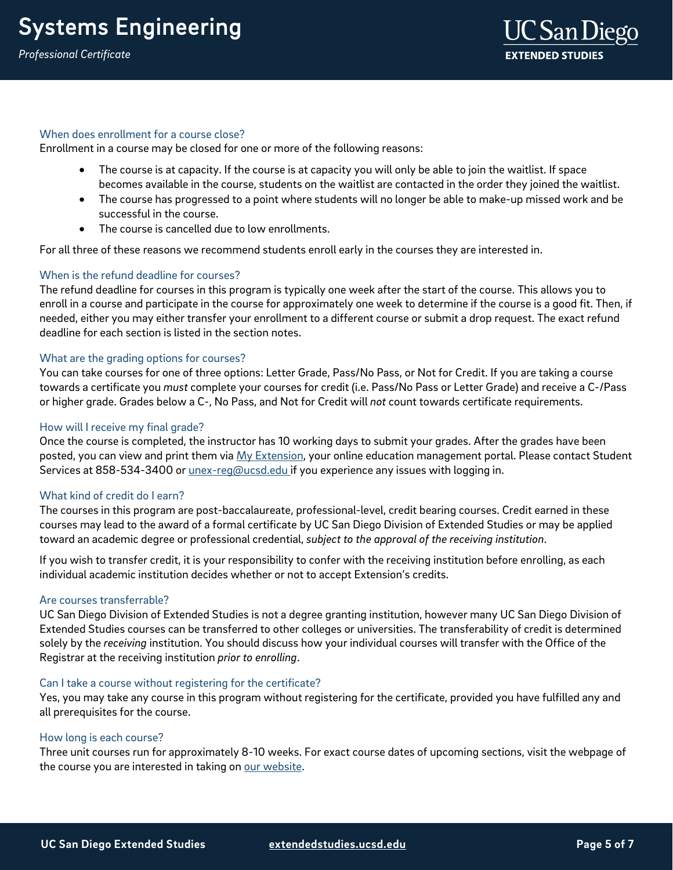#### When does enrollment for a course close?

Enrollment in a course may be closed for one or more of the following reasons:

- The course is at capacity. If the course is at capacity you will only be able to join the waitlist. If space becomes available in the course, students on the waitlist are contacted in the order they joined the waitlist.
- The course has progressed to a point where students will no longer be able to make-up missed work and be successful in the course.
- The course is cancelled due to low enrollments.

For all three of these reasons we recommend students enroll early in the courses they are interested in.

#### When is the refund deadline for courses?

The refund deadline for courses in this program is typically one week after the start of the course. This allows you to enroll in a course and participate in the course for approximately one week to determine if the course is a good fit. Then, if needed, either you may either transfer your enrollment to a different course or submit a drop request. The exact refund deadline for each section is listed in the section notes.

#### What are the grading options for courses?

You can take courses for one of three options: Letter Grade, Pass/No Pass, or Not for Credit. If you are taking a course towards a certificate you *must* complete your courses for credit (i.e. Pass/No Pass or Letter Grade) and receive a C-/Pass or higher grade. Grades below a C-, No Pass, and Not for Credit will *not* count towards certificate requirements.

#### How will I receive my final grade?

Once the course is completed, the instructor has 10 working days to submit your grades. After the grades have been posted, you can view and print them via [My Extension,](https://myextension.ucsd.edu/) your online education management portal. Please contact Student Services at 858-534-3400 or *unex-reg@ucsd.edu* if you experience any issues with logging in.

#### What kind of credit do I earn?

The courses in this program are post-baccalaureate, professional-level, credit bearing courses. Credit earned in these courses may lead to the award of a formal certificate by UC San Diego Division of Extended Studies or may be applied toward an academic degree or professional credential, *subject to the approval of the receiving institution*.

If you wish to transfer credit, it is your responsibility to confer with the receiving institution before enrolling, as each individual academic institution decides whether or not to accept Extension's credits.

#### Are courses transferrable?

UC San Diego Division of Extended Studies is not a degree granting institution, however many UC San Diego Division of Extended Studies courses can be transferred to other colleges or universities. The transferability of credit is determined solely by the *receiving* institution. You should discuss how your individual courses will transfer with the Office of the Registrar at the receiving institution *prior to enrolling*.

#### Can I take a course without registering for the certificate?

Yes, you may take any course in this program without registering for the certificate, provided you have fulfilled any and all prerequisites for the course.

#### How long is each course?

Three unit courses run for approximately 8-10 weeks. For exact course dates of upcoming sections, visit the webpage of the course you are interested in taking on [our website.](https://extension.ucsd.edu/?utm_source=faqs-pdf&utm_medium=pdf&utm_campaign=bst-systems-engineering)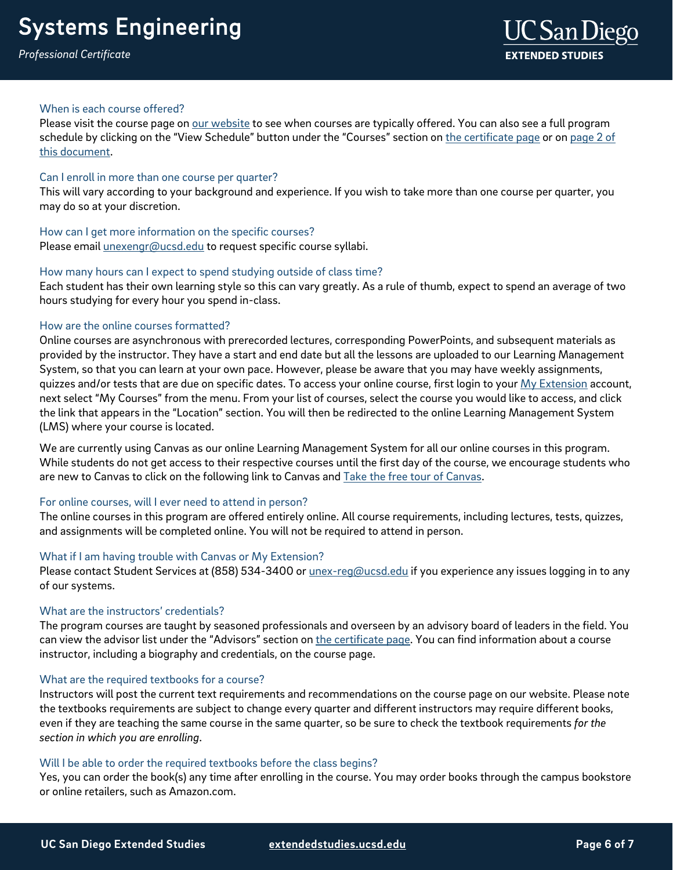*Professional Certificate*

#### When is each course offered?

Please visit the course page on [our website](https://extension.ucsd.edu/?utm_source=faqs-pdf&utm_medium=pdf&utm_campaign=bst-systems-engineering) to see when courses are typically offered. You can also see a full program schedule by clicking on the "View Schedule" button under the "Courses" section o[n the certificate page](https://extension.ucsd.edu/courses-and-programs/systems-engineering-certificate?utm_source=faqs-pdf&utm_medium=pdf&utm_campaign=bst-systems-engineering) or on page 2 of [this document.](#page-1-0)

#### Can I enroll in more than one course per quarter?

This will vary according to your background and experience. If you wish to take more than one course per quarter, you may do so at your discretion.

#### How can I get more information on the specific courses?

Please email *unexengr@ucsd.edu* to request specific course syllabi.

#### How many hours can I expect to spend studying outside of class time?

Each student has their own learning style so this can vary greatly. As a rule of thumb, expect to spend an average of two hours studying for every hour you spend in-class.

#### How are the online courses formatted?

Online courses are asynchronous with prerecorded lectures, corresponding PowerPoints, and subsequent materials as provided by the instructor. They have a start and end date but all the lessons are uploaded to our Learning Management System, so that you can learn at your own pace. However, please be aware that you may have weekly assignments, quizzes and/or tests that are due on specific dates. To access your online course, first login to your [My Extension](https://myextension.ucsd.edu/?_ga=2.263150219.627403318.1595353518-1029495817.1595353518) account, next select "My Courses" from the menu. From your list of courses, select the course you would like to access, and click the link that appears in the "Location" section. You will then be redirected to the online Learning Management System (LMS) where your course is located.

We are currently using Canvas as our online Learning Management System for all our online courses in this program. While students do not get access to their respective courses until the first day of the course, we encourage students who are new to Canvas to click on the following link to Canvas and Take the free tour of Canvas.

#### For online courses, will I ever need to attend in person?

The online courses in this program are offered entirely online. All course requirements, including lectures, tests, quizzes, and assignments will be completed online. You will not be required to attend in person.

#### What if I am having trouble with Canvas or My Extension?

Please contact Student Services at (858) 534-3400 or [unex-reg@ucsd.edu](mailto:unex-reg@ucsd.edu) if you experience any issues logging in to any of our systems.

#### What are the instructors' credentials?

The program courses are taught by seasoned professionals and overseen by an advisory board of leaders in the field. You can view the advisor list under the "Advisors" section o[n the certificate page.](https://extension.ucsd.edu/courses-and-programs/systems-engineering-certificate?utm_source=faqs-pdf&utm_medium=pdf&utm_campaign=bst-systems-engineering) You can find information about a course instructor, including a biography and credentials, on the course page.

#### What are the required textbooks for a course?

Instructors will post the current text requirements and recommendations on the course page on our website. Please note the textbooks requirements are subject to change every quarter and different instructors may require different books, even if they are teaching the same course in the same quarter, so be sure to check the textbook requirements *for the section in which you are enrolling*.

#### Will I be able to order the required textbooks before the class begins?

Yes, you can order the book(s) any time after enrolling in the course. You may order books through the campus bookstore or online retailers, such as Amazon.com.